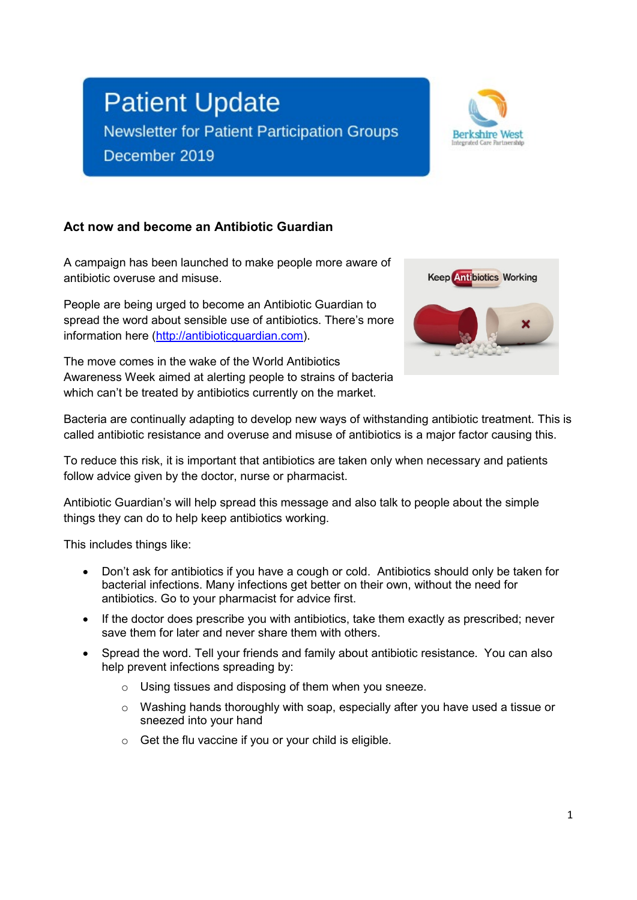# **Patient Update**

Newsletter for Patient Participation Groups

December 2019



#### **Act now and become an Antibiotic Guardian**

A campaign has been launched to make people more aware of antibiotic overuse and misuse.

People are being urged to become an Antibiotic Guardian to spread the word about sensible use of antibiotics. There's more information here [\(http://antibioticguardian.com\)](http://antibioticguardian.com/).

The move comes in the wake of the World Antibiotics Awareness Week aimed at alerting people to strains of bacteria which can't be treated by antibiotics currently on the market.



Bacteria are continually adapting to develop new ways of withstanding antibiotic treatment. This is called antibiotic resistance and overuse and misuse of antibiotics is a major factor causing this.

To reduce this risk, it is important that antibiotics are taken only when necessary and patients follow advice given by the doctor, nurse or pharmacist.

Antibiotic Guardian's will help spread this message and also talk to people about the simple things they can do to help keep antibiotics working.

This includes things like:

- Don't ask for antibiotics if you have a cough or cold. Antibiotics should only be taken for bacterial infections. Many infections get better on their own, without the need for antibiotics. Go to your pharmacist for advice first.
- If the doctor does prescribe you with antibiotics, take them exactly as prescribed; never save them for later and never share them with others.
- Spread the word. Tell your friends and family about antibiotic resistance. You can also help prevent infections spreading by:
	- o Using tissues and disposing of them when you sneeze.
	- o Washing hands thoroughly with soap, especially after you have used a tissue or sneezed into your hand
	- $\circ$  Get the flu vaccine if you or your child is eligible.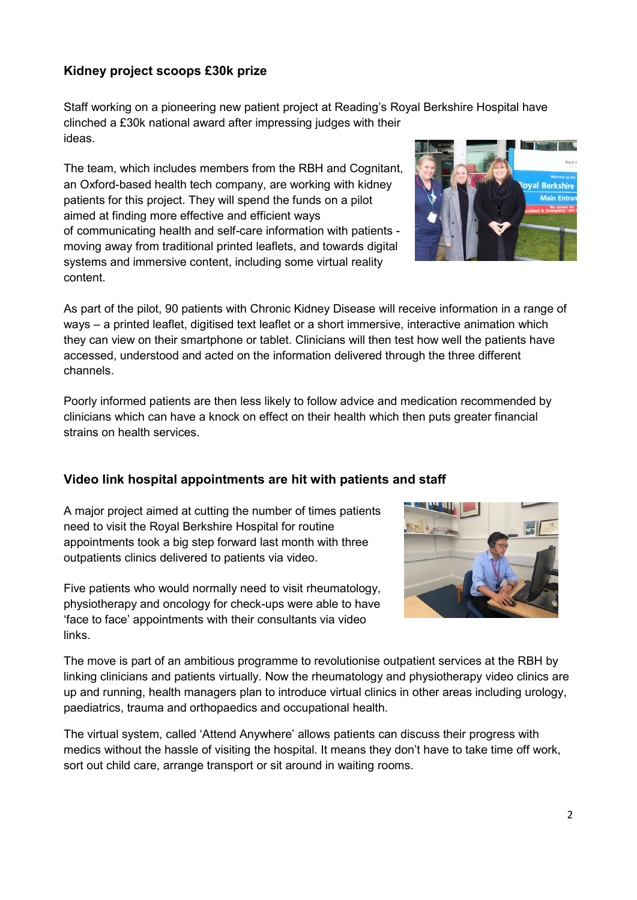#### **Kidney project scoops £30k prize**

Staff working on a pioneering new patient project at Reading's Royal Berkshire Hospital have clinched a £30k national award after impressing judges with their ideas.

The team, which includes members from the RBH and Cognitant, an Oxford-based health tech company, are working with kidney patients for this project. They will spend the funds on a pilot aimed at finding more effective and efficient ways of communicating health and self-care information with patients moving away from traditional printed leaflets, and towards digital systems and immersive content, including some virtual reality content.

As part of the pilot, 90 patients with Chronic Kidney Disease will receive information in a range of ways – a printed leaflet, digitised text leaflet or a short immersive, interactive animation which they can view on their smartphone or tablet. Clinicians will then test how well the patients have accessed, understood and acted on the information delivered through the three different channels.

Poorly informed patients are then less likely to follow advice and medication recommended by clinicians which can have a knock on effect on their health which then puts greater financial strains on health services.

#### **Video link hospital appointments are hit with patients and staff**

A major project aimed at cutting the number of times patients need to visit the Royal Berkshire Hospital for routine appointments took a big step forward last month with three outpatients clinics delivered to patients via video.

Five patients who would normally need to visit rheumatology, physiotherapy and oncology for check-ups were able to have 'face to face' appointments with their consultants via video

links.

The move is part of an ambitious programme to revolutionise outpatient services at the RBH by linking clinicians and patients virtually. Now the rheumatology and physiotherapy video clinics are up and running, health managers plan to introduce virtual clinics in other areas including urology, paediatrics, trauma and orthopaedics and occupational health.

The virtual system, called 'Attend Anywhere' allows patients can discuss their progress with medics without the hassle of visiting the hospital. It means they don't have to take time off work, sort out child care, arrange transport or sit around in waiting rooms.



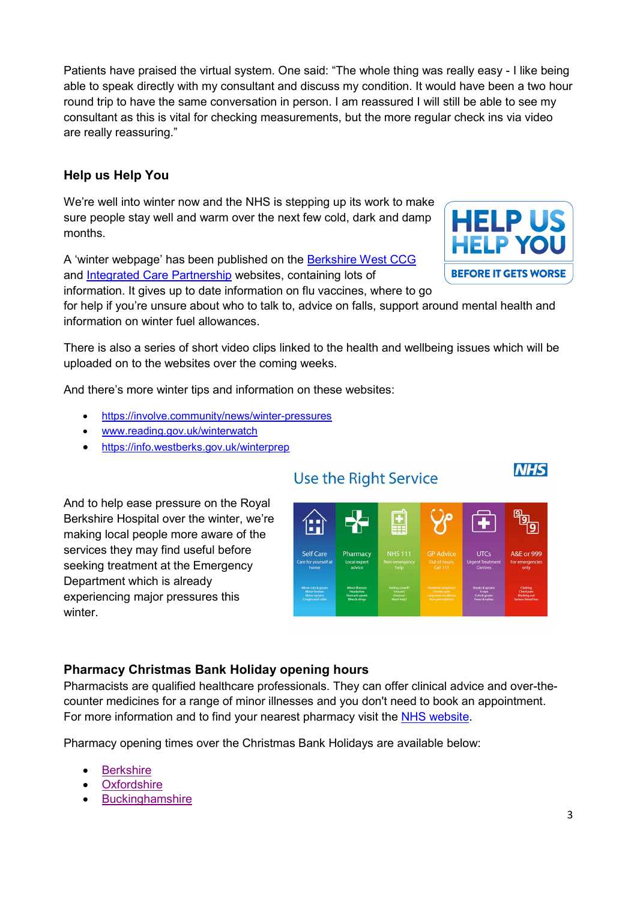Patients have praised the virtual system. One said: "The whole thing was really easy - I like being able to speak directly with my consultant and discuss my condition. It would have been a two hour round trip to have the same conversation in person. I am reassured I will still be able to see my consultant as this is vital for checking measurements, but the more regular check ins via video are really reassuring."

### **Help us Help You**

We're well into winter now and the NHS is stepping up its work to make sure people stay well and warm over the next few cold, dark and damp months.

A 'winter webpage' has been published on the [Berkshire West CCG](http://www.berkshirewestccg.nhs.uk/winter) and [Integrated Care Partnership](http://berkshirewesticp.org/winter) websites, containing lots of

information. It gives up to date information on flu vaccines, where to go

for help if you're unsure about who to talk to, advice on falls, support around mental health and information on winter fuel allowances.

There is also a series of short video clips linked to the health and wellbeing issues which will be uploaded on to the websites over the coming weeks.

And there's more winter tips and information on these websites:

- [https://involve.community/news/winter-pressures](https://involve.community/news/winter-pressures/)
- [www.reading.gov.uk/winterwatch](http://www.reading.gov.uk/winterwatch)
- <https://info.westberks.gov.uk/winterprep>

And to help ease pressure on the Royal Berkshire Hospital over the winter, we're making local people more aware of the services they may find useful before seeking treatment at the Emergency Department which is already experiencing major pressures this winter.

### **Pharmacy Christmas Bank Holiday opening hours**

Pharmacists are qualified healthcare professionals. They can offer clinical advice and over-thecounter medicines for a range of minor illnesses and you don't need to book an appointment. For more information and to find your nearest pharmacy visit the [NHS website.](https://www.nhs.uk/using-the-nhs/nhs-services/pharmacies/what-to-expect-from-your-pharmacy-team/)

Pharmacy opening times over the Christmas Bank Holidays are available below:

- **[Berkshire](https://www.berkshirewestccg.nhs.uk/media/3489/final-2019-20-christmas-posters-berkshire.pdf)**
- **[Oxfordshire](https://www.berkshirewestccg.nhs.uk/media/3495/final-2019-20-christmas-pharmacy-hrs-oxfordshire2.pdf)**
- **[Buckinghamshire](https://www.berkshirewestccg.nhs.uk/media/3490/final-2019-20-christmas-posters-buckinghamshire.pdf)**

## **Use the Right Service**





**NHS**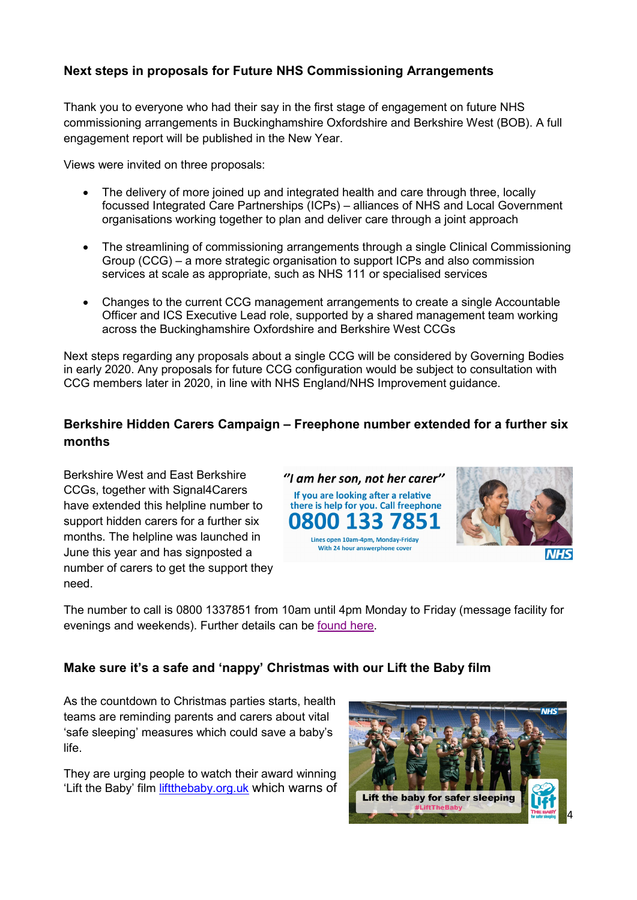#### **Next steps in proposals for Future NHS Commissioning Arrangements**

Thank you to everyone who had their say in the first stage of engagement on future NHS commissioning arrangements in Buckinghamshire Oxfordshire and Berkshire West (BOB). A full engagement report will be published in the New Year.

Views were invited on three proposals:

- The delivery of more joined up and integrated health and care through three, locally focussed Integrated Care Partnerships (ICPs) – alliances of NHS and Local Government organisations working together to plan and deliver care through a joint approach
- The streamlining of commissioning arrangements through a single Clinical Commissioning Group (CCG) – a more strategic organisation to support ICPs and also commission services at scale as appropriate, such as NHS 111 or specialised services
- Changes to the current CCG management arrangements to create a single Accountable Officer and ICS Executive Lead role, supported by a shared management team working across the Buckinghamshire Oxfordshire and Berkshire West CCGs

Next steps regarding any proposals about a single CCG will be considered by Governing Bodies in early 2020. Any proposals for future CCG configuration would be subject to consultation with CCG members later in 2020, in line with NHS England/NHS Improvement guidance.

#### **Berkshire Hidden Carers Campaign – Freephone number extended for a further six months**

Berkshire West and East Berkshire CCGs, together with Signal4Carers have extended this helpline number to support hidden carers for a further six months. The helpline was launched in June this year and has signposted a number of carers to get the support they need.





The number to call is 0800 1337851 from 10am until 4pm Monday to Friday (message facility for evenings and weekends). Further details can be [found here.](https://www.berkshirewestccg.nhs.uk/media/3513/berkshire-hidden-carers-campaign-sholders-dec2019.pdf)

#### **Make sure it's a safe and 'nappy' Christmas with our Lift the Baby film**

As the countdown to Christmas parties starts, health teams are reminding parents and carers about vital 'safe sleeping' measures which could save a baby's life.

They are urging people to watch their award winning 'Lift the Baby' film [liftthebaby.org.uk](https://liftthebaby.org.uk/) which warns of

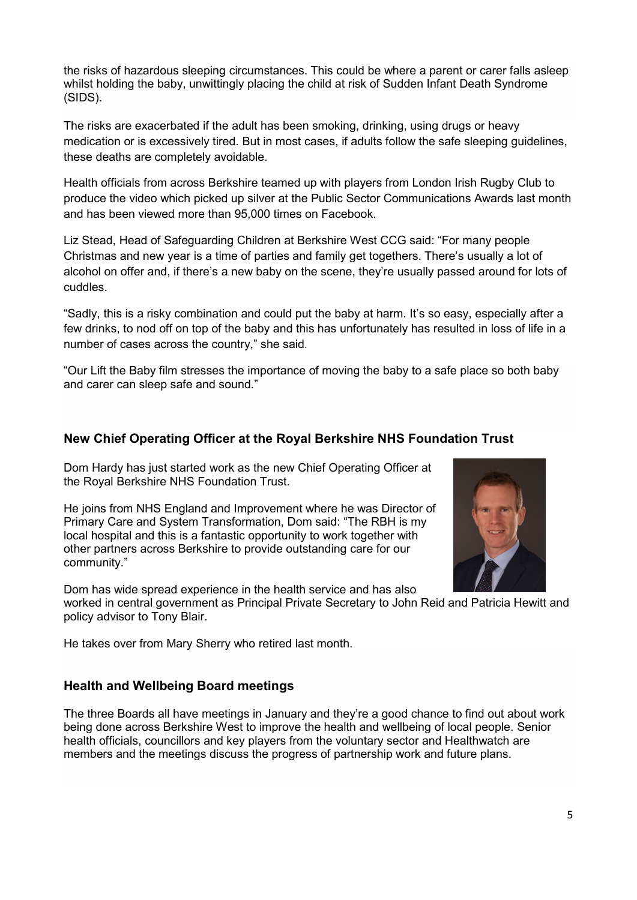the risks of hazardous sleeping circumstances. This could be where a parent or carer falls asleep whilst holding the baby, unwittingly placing the child at risk of Sudden Infant Death Syndrome (SIDS).

The risks are exacerbated if the adult has been smoking, drinking, using drugs or heavy medication or is excessively tired. But in most cases, if adults follow the safe sleeping guidelines, these deaths are completely avoidable.

Health officials from across Berkshire teamed up with players from London Irish Rugby Club to produce the video which picked up silver at the Public Sector Communications Awards last month and has been viewed more than 95,000 times on Facebook.

Liz Stead, Head of Safeguarding Children at Berkshire West CCG said: "For many people Christmas and new year is a time of parties and family get togethers. There's usually a lot of alcohol on offer and, if there's a new baby on the scene, they're usually passed around for lots of cuddles.

"Sadly, this is a risky combination and could put the baby at harm. It's so easy, especially after a few drinks, to nod off on top of the baby and this has unfortunately has resulted in loss of life in a number of cases across the country," she said.

"Our Lift the Baby film stresses the importance of moving the baby to a safe place so both baby and carer can sleep safe and sound."

#### **New Chief Operating Officer at the Royal Berkshire NHS Foundation Trust**

Dom Hardy has just started work as the new Chief Operating Officer at the Royal Berkshire NHS Foundation Trust.

He joins from NHS England and Improvement where he was Director of Primary Care and System Transformation, Dom said: "The RBH is my local hospital and this is a fantastic opportunity to work together with other partners across Berkshire to provide outstanding care for our community."

Dom has wide spread experience in the health service and has also worked in central government as Principal Private Secretary to John Reid and Patricia Hewitt and policy advisor to Tony Blair.

He takes over from Mary Sherry who retired last month.

#### **Health and Wellbeing Board meetings**

The three Boards all have meetings in January and they're a good chance to find out about work being done across Berkshire West to improve the health and wellbeing of local people. Senior health officials, councillors and key players from the voluntary sector and Healthwatch are members and the meetings discuss the progress of partnership work and future plans.